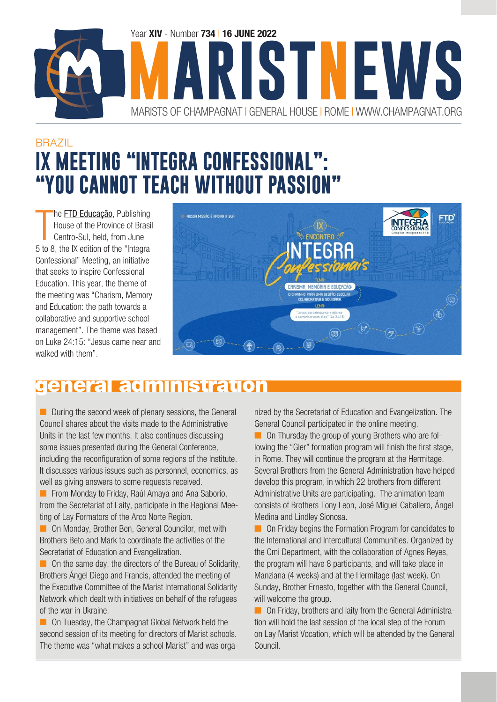

### BRAZIL **IX MEETING "INTEGRA CONFESSIONAL": "YOU CANNOT TEACH WITHOUT PASSION"**

T he **[FTD Educação](https://ftd.com.br/)**, Publishing House of the Province of Brasil Centro-Sul, held, from June 5 to 8, the IX edition of the "Integra Confessional" Meeting, an initiative that seeks to inspire Confessional Education. This year, the theme of the meeting was "Charism, Memory and Education: the path towards a collaborative and supportive school management". The theme was based on Luke 24:15: "Jesus came near and walked with them".



#### general administration

■ During the second week of plenary sessions, the General Council shares about the visits made to the Administrative Units in the last few months. It also continues discussing some issues presented during the General Conference, including the reconfiguration of some regions of the Institute. It discusses various issues such as personnel, economics, as well as giving answers to some requests received.

■ From Monday to Friday, Raúl Amaya and Ana Saborío, from the Secretariat of Laity, participate in the Regional Meeting of Lay Formators of the Arco Norte Region.

■ On Monday, Brother Ben, General Councilor, met with Brothers Beto and Mark to coordinate the activities of the Secretariat of Education and Evangelization.

■ On the same day, the directors of the Bureau of Solidarity, Brothers Ángel Diego and Francis, attended the meeting of the Executive Committee of the Marist International Solidarity Network which dealt with initiatives on behalf of the refugees of the war in Ukraine.

■ On Tuesday, the Champagnat Global Network held the second session of its meeting for directors of Marist schools. The theme was "what makes a school Marist" and was organized by the Secretariat of Education and Evangelization. The General Council participated in the online meeting.

■ On Thursday the group of young Brothers who are following the "Gier" formation program will finish the first stage, in Rome. They will continue the program at the Hermitage. Several Brothers from the General Administration have helped develop this program, in which 22 brothers from different Administrative Units are participating. The animation team consists of Brothers Tony Leon, José Miguel Caballero, Ángel Medina and Lindley Sionosa.

■ On Friday begins the Formation Program for candidates to the International and Intercultural Communities. Organized by the Cmi Department, with the collaboration of Agnes Reyes, the program will have 8 participants, and will take place in Manziana (4 weeks) and at the Hermitage (last week). On Sunday, Brother Ernesto, together with the General Council, will welcome the group.

■ On Friday, brothers and laity from the General Administration will hold the last session of the local step of the Forum on Lay Marist Vocation, which will be attended by the General Council.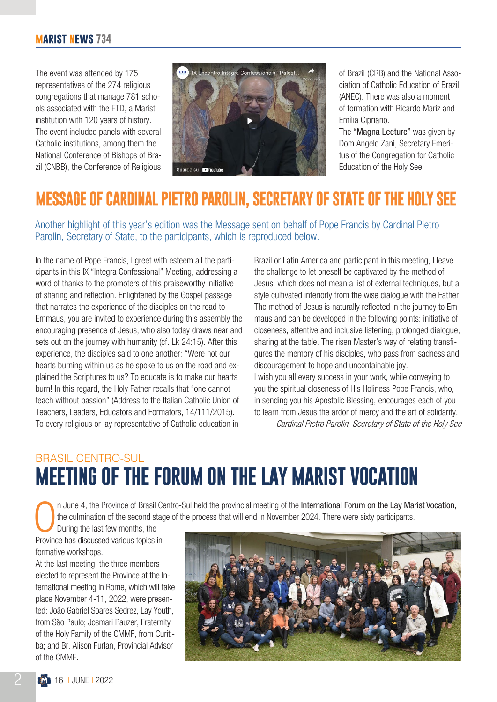The event was attended by 175 representatives of the 274 religious congregations that manage 781 schools associated with the FTD, a Marist institution with 120 years of history. The event included panels with several Catholic institutions, among them the National Conference of Bishops of Brazil (CNBB), the Conference of Religious



of Brazil (CRB) and the National Association of Catholic Education of Brazil (ANEC). There was also a moment of formation with Ricardo Mariz and Emília Cipriano.

The "[Magna Lecture](https://youtu.be/7R43c-eLHWQ)" was given by Dom Angelo Zani, Secretary Emeritus of the Congregation for Catholic Education of the Holy See.

### **MESSAGE OF CARDINAL PIETRO PAROLIN, SECRETARY OF STATE OF THE HOLY SEE**

Another highlight of this year's edition was the Message sent on behalf of Pope Francis by Cardinal Pietro Parolin, Secretary of State, to the participants, which is reproduced below.

In the name of Pope Francis, I greet with esteem all the participants in this IX "Integra Confessional" Meeting, addressing a word of thanks to the promoters of this praiseworthy initiative of sharing and reflection. Enlightened by the Gospel passage that narrates the experience of the disciples on the road to Emmaus, you are invited to experience during this assembly the encouraging presence of Jesus, who also today draws near and sets out on the journey with humanity (cf. Lk 24:15). After this experience, the disciples said to one another: "Were not our hearts burning within us as he spoke to us on the road and explained the Scriptures to us? To educate is to make our hearts burn! In this regard, the Holy Father recalls that "one cannot teach without passion" (Address to the Italian Catholic Union of Teachers, Leaders, Educators and Formators, 14/111/2015). To every religious or lay representative of Catholic education in

Brazil or Latin America and participant in this meeting, I leave the challenge to let oneself be captivated by the method of Jesus, which does not mean a list of external techniques, but a style cultivated interiorly from the wise dialogue with the Father. The method of Jesus is naturally reflected in the journey to Emmaus and can be developed in the following points: initiative of closeness, attentive and inclusive listening, prolonged dialogue, sharing at the table. The risen Master's way of relating transfigures the memory of his disciples, who pass from sadness and discouragement to hope and uncontainable joy. I wish you all every success in your work, while conveying to you the spiritual closeness of His Holiness Pope Francis, who, in sending you his Apostolic Blessing, encourages each of you to learn from Jesus the ardor of mercy and the art of solidarity.

Cardinal Pietro Parolin, Secretary of State of the Holy See

### BRASIL CENTRO-SUL **MEETING OF THE FORUM ON THE LAY MARIST VOCATION**

n June 4, the Province of Brasil Centro-Sul held the provincial meeting of the [International Forum on the Lay Marist Vocation](https://champagnat.org/en/international-forum-on-the-lay-marist-vocation/), the culmination of the second stage of the process that will end in November 2024. There were sixty participants.

During the last few months, the Province has discussed various topics in formative workshops.

At the last meeting, the three members elected to represent the Province at the International meeting in Rome, which will take place November 4-11, 2022, were presented: João Gabriel Soares Sedrez, Lay Youth, from São Paulo; Josmari Pauzer, Fraternity of the Holy Family of the CMMF, from Curitiba; and Br. Alison Furlan, Provincial Advisor of the CMMF.

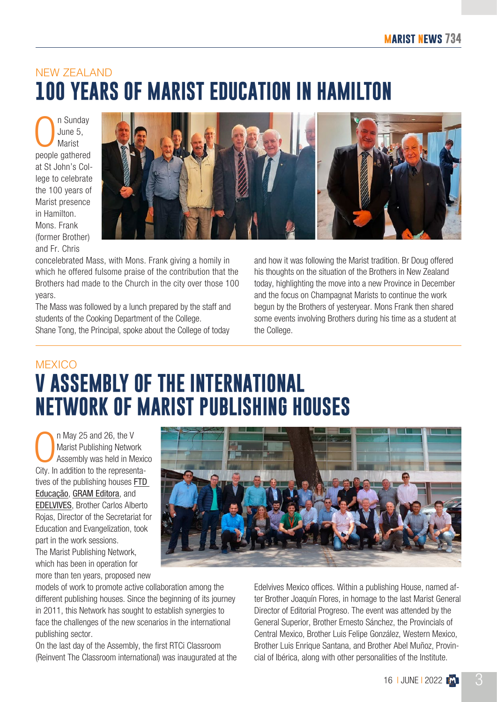### NEW ZEALAND **100 YEARS OF MARIST EDUCATION IN HAMILTON**

n Sunday June 5, Marist people gathered at St John's College to celebrate the 100 years of Marist presence in Hamilton. Mons. Frank (former Brother) and Fr. Chris



concelebrated Mass, with Mons. Frank giving a homily in which he offered fulsome praise of the contribution that the Brothers had made to the Church in the city over those 100 years.

The Mass was followed by a lunch prepared by the staff and students of the Cooking Department of the College. Shane Tong, the Principal, spoke about the College of today

and how it was following the Marist tradition. Br Doug offered his thoughts on the situation of the Brothers in New Zealand today, highlighting the move into a new Province in December and the focus on Champagnat Marists to continue the work begun by the Brothers of yesteryear. Mons Frank then shared some events involving Brothers during his time as a student at the College.

### **MEXICO V ASSEMBLY OF THE INTERNATIONAL NETWORK OF MARIST PUBLISHING HOUSES**

 $\overline{\bigcup_{\text{Oiv.}}\,}$ n May 25 and 26, the V Marist Publishing Network Assembly was held in Mexico City. In addition to the representatives of the publishing houses [FTD](https://ftd.com.br/)  [Educação](https://ftd.com.br/), [GRAM Editora](http://grameditora.com.ar/), and [EDELVIVES](https://edelvives.com/), Brother Carlos Alberto Rojas, Director of the Secretariat for Education and Evangelization, took part in the work sessions. The Marist Publishing Network, which has been in operation for more than ten years, proposed new



models of work to promote active collaboration among the different publishing houses. Since the beginning of its journey in 2011, this Network has sought to establish synergies to face the challenges of the new scenarios in the international publishing sector.

On the last day of the Assembly, the first RTCi Classroom (Reinvent The Classroom international) was inaugurated at the Edelvives Mexico offices. Within a publishing House, named after Brother Joaquín Flores, in homage to the last Marist General Director of Editorial Progreso. The event was attended by the General Superior, Brother Ernesto Sánchez, the Provincials of Central Mexico, Brother Luis Felipe González, Western Mexico, Brother Luis Enrique Santana, and Brother Abel Muñoz, Provincial of Ibérica, along with other personalities of the Institute.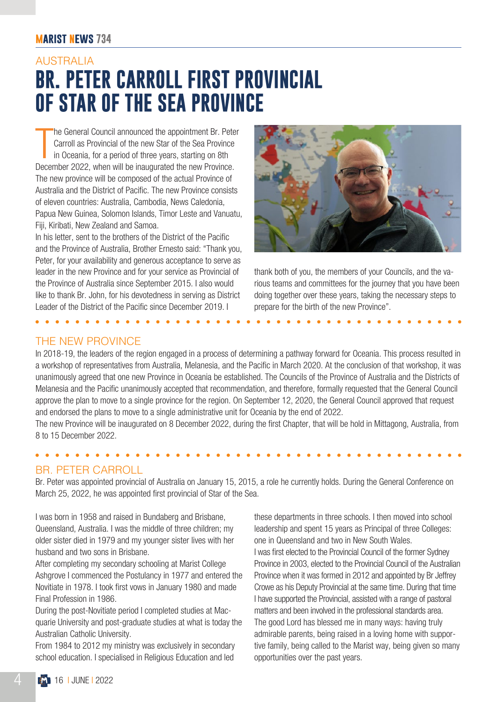#### **marist news 734**

### AUSTRALIA **BR. PETER CARROLL FIRST PROVINCIAL OF STAR OF THE SEA PROVINCE**

 $\prod_{\text{Dose}}$ he General Council announced the appointment Br. Peter Carroll as Provincial of the new Star of the Sea Province in Oceania, for a period of three years, starting on 8th December 2022, when will be inaugurated the new Province. The new province will be composed of the actual Province of Australia and the District of Pacific. The new Province consists of eleven countries: Australia, Cambodia, News Caledonia, Papua New Guinea, Solomon Islands, Timor Leste and Vanuatu, Fiji, Kiribati, New Zealand and Samoa.

In his letter, sent to the brothers of the District of the Pacific and the Province of Australia, Brother Ernesto said: "Thank you, Peter, for your availability and generous acceptance to serve as leader in the new Province and for your service as Provincial of the Province of Australia since September 2015. I also would like to thank Br. John, for his devotedness in serving as District Leader of the District of the Pacific since December 2019. I



thank both of you, the members of your Councils, and the various teams and committees for the journey that you have been doing together over these years, taking the necessary steps to prepare for the birth of the new Province".

#### THE NEW PROVINCE

In 2018-19, the leaders of the region engaged in a process of determining a pathway forward for Oceania. This process resulted in a workshop of representatives from Australia, Melanesia, and the Pacific in March 2020. At the conclusion of that workshop, it was unanimously agreed that one new Province in Oceania be established. The Councils of the Province of Australia and the Districts of Melanesia and the Pacific unanimously accepted that recommendation, and therefore, formally requested that the General Council approve the plan to move to a single province for the region. On September 12, 2020, the General Council approved that request and endorsed the plans to move to a single administrative unit for Oceania by the end of 2022.

The new Province will be inaugurated on 8 December 2022, during the first Chapter, that will be hold in Mittagong, Australia, from 8 to 15 December 2022.

#### BR. PETER CARROLL

Br. Peter was appointed provincial of Australia on January 15, 2015, a role he currently holds. During the General Conference on March 25, 2022, he was appointed first provincial of Star of the Sea.

I was born in 1958 and raised in Bundaberg and Brisbane, Queensland, Australia. I was the middle of three children; my older sister died in 1979 and my younger sister lives with her husband and two sons in Brisbane.

After completing my secondary schooling at Marist College Ashgrove I commenced the Postulancy in 1977 and entered the Novitiate in 1978. I took first vows in January 1980 and made Final Profession in 1986.

During the post-Novitiate period I completed studies at Macquarie University and post-graduate studies at what is today the Australian Catholic University.

From 1984 to 2012 my ministry was exclusively in secondary school education. I specialised in Religious Education and led

these departments in three schools. I then moved into school leadership and spent 15 years as Principal of three Colleges: one in Queensland and two in New South Wales. I was first elected to the Provincial Council of the former Sydney Province in 2003, elected to the Provincial Council of the Australian Province when it was formed in 2012 and appointed by Br Jeffrey Crowe as his Deputy Provincial at the same time. During that time I have supported the Provincial, assisted with a range of pastoral matters and been involved in the professional standards area. The good Lord has blessed me in many ways: having truly admirable parents, being raised in a loving home with supportive family, being called to the Marist way, being given so many opportunities over the past years.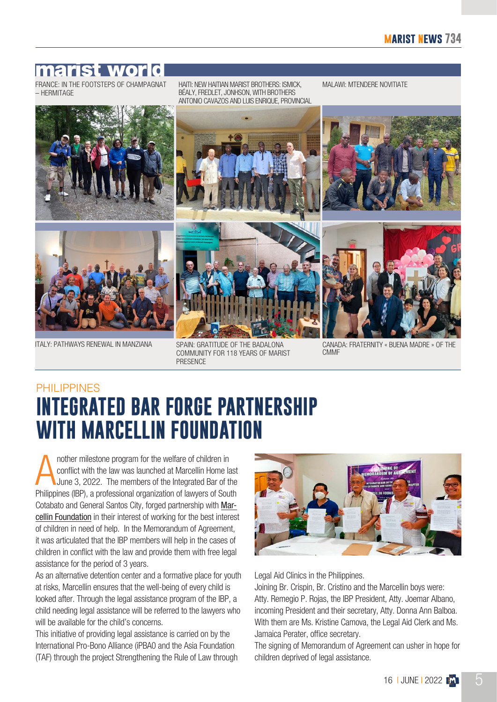#### marist world

– HERMITAGE

HAITI: NEW HAITIAN MARIST BROTHERS: ISMICK, BÉALY, FREDLET, JONHSON, WITH BROTHERS ANTONIO CAVAZOS AND LUIS ENRIQUE, PROVINCIAL FRANCE: IN THE FOOTSTEPS OF CHAMPAGNAT HAITI: NEW HAITIAN MARIST BROTHERS: ISMICK. MALAWI: MTENDERE NOVITIATE





ITALY: PATHWAYS RENEWAL IN MANZIANA

SPAIN: GRATITUDE OF THE BADALONA COMMUNITY FOR 118 YEARS OF MARIST **PRESENCE** 

CANADA: FRATERNITY « BUENA MADRE » OF THE **CMMF** 

### PHILIPPINES **INTEGRATED BAR FORGE PARTNERSHIP WITH MARCELLIN FOUNDATION**

A nother milestone program for the welfare of children in conflict with the law was launched at Marcellin Home last June 3, 2022. The members of the Integrated Bar of the Philippines (IBP), a professional organization of lawyers of South Cotabato and General Santos City, forged partnership with [Mar](https://marcellinph.org/)[cellin Foundation](https://marcellinph.org/) in their interest of working for the best interest of children in need of help. In the Memorandum of Agreement, it was articulated that the IBP members will help in the cases of children in conflict with the law and provide them with free legal assistance for the period of 3 years.

As an alternative detention center and a formative place for youth at risks, Marcellin ensures that the well-being of every child is looked after. Through the legal assistance program of the IBP, a child needing legal assistance will be referred to the lawyers who will be available for the child's concerns.

This initiative of providing legal assistance is carried on by the International Pro-Bono Alliance (iPBA0 and the Asia Foundation (TAF) through the project Strengthening the Rule of Law through



Legal Aid Clinics in the Philippines.

Joining Br. Crispin, Br. Cristino and the Marcellin boys were: Atty. Remegio P. Rojas, the IBP President, Atty. Joemar Albano, incoming President and their secretary, Atty. Donna Ann Balboa. With them are Ms. Kristine Camova, the Legal Aid Clerk and Ms. Jamaica Perater, office secretary.

The signing of Memorandum of Agreement can usher in hope for children deprived of legal assistance.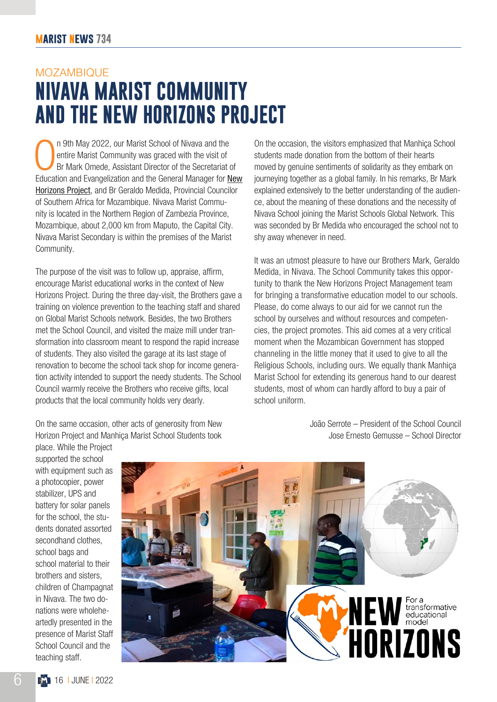# MOZAMBIQUE **NIVAVA MARIST COMMUNITY AND THE NEW HORIZONS PROJECT**

In 9th May 2022, our Marist School of Nivava and the entire Marist Community was graced with the visit of Br Mark Omede, Assistant Director of the Secretariat of Education and Evangelization and the General Manager for New n 9th May 2022, our Marist School of Nivava and the entire Marist Community was graced with the visit of Br Mark Omede, Assistant Director of the Secretariat of [Horizons Project](https://champagnat.org/en/transforming-educational-model-in-africa/), and Br Geraldo Medida, Provincial Councilor of Southern Africa for Mozambique. Nivava Marist Community is located in the Northern Region of Zambezia Province, Mozambique, about 2,000 km from Maputo, the Capital City. Nivava Marist Secondary is within the premises of the Marist Community.

The purpose of the visit was to follow up, appraise, affirm, encourage Marist educational works in the context of New Horizons Project. During the three day-visit, the Brothers gave a training on violence prevention to the teaching staff and shared on Global Marist Schools network. Besides, the two Brothers met the School Council, and visited the maize mill under transformation into classroom meant to respond the rapid increase of students. They also visited the garage at its last stage of renovation to become the school tack shop for income generation activity intended to support the needy students. The School Council warmly receive the Brothers who receive gifts, local products that the local community holds very dearly.

On the same occasion, other acts of generosity from New Horizon Project and Manhiça Marist School Students took

On the occasion, the visitors emphasized that Manhiça School students made donation from the bottom of their hearts moved by genuine sentiments of solidarity as they embark on journeying together as a global family. In his remarks, Br Mark explained extensively to the better understanding of the audience, about the meaning of these donations and the necessity of Nivava School joining the Marist Schools Global Network. This was seconded by Br Medida who encouraged the school not to shy away whenever in need.

It was an utmost pleasure to have our Brothers Mark, Geraldo Medida, in Nivava. The School Community takes this opportunity to thank the New Horizons Project Management team for bringing a transformative education model to our schools. Please, do come always to our aid for we cannot run the school by ourselves and without resources and competencies, the project promotes. This aid comes at a very critical moment when the Mozambican Government has stopped channeling in the little money that it used to give to all the Religious Schools, including ours. We equally thank Manhiça Marist School for extending its generous hand to our dearest students, most of whom can hardly afford to buy a pair of school uniform.

> João Serrote – President of the School Council Jose Ernesto Gemusse – School Director

supported the school with equipment such as a photocopier, power stabilizer, UPS and battery for solar panels for the school, the students donated assorted secondhand clothes, school bags and school material to their brothers and sisters, children of Champagnat in Nivava. The two donations were wholeheartedly presented in the presence of Marist Staff School Council and the teaching staff.

place. While the Project

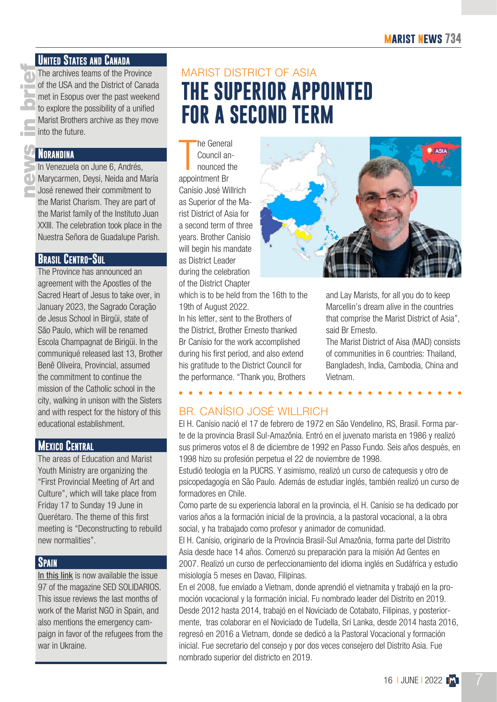The archives teams of the Property of the USA and the District of met in Esopus over the past to explore the possibility of a Marist Brothers archive as the into the future.<br> **ARANDINA**<br>
In Venezuela on June 6, Ance Maryca The archives teams of the Province of the USA and the District of Canada met in Esopus over the past weekend to explore the possibility of a unified Marist Brothers archive as they move into the future.

#### **Norandina**

In Venezuela on June 6, Andrés, Marycarmen, Deysi, Neida and María José renewed their commitment to the Marist Charism. They are part of the Marist family of the Instituto Juan XXIII. The celebration took place in the Nuestra Señora de Guadalupe Parish.

#### **Brasil Centro-Sul**

The Province has announced an agreement with the Apostles of the Sacred Heart of Jesus to take over, in January 2023, the Sagrado Coração de Jesus School in Birgüi, state of São Paulo, which will be renamed Escola Champagnat de Birigüi. In the communiqué released last 13, Brother Benê Oliveira, Provincial, assumed the commitment to continue the mission of the Catholic school in the city, walking in unison with the Sisters and with respect for the history of this educational establishment.

#### **Mexico Central**

The areas of Education and Marist Youth Ministry are organizing the "First Provincial Meeting of Art and Culture", which will take place from Friday 17 to Sunday 19 June in Querétaro. The theme of this first meeting is "Deconstructing to rebuild new normalities".

#### **Spain**

[In this link](https://bit.ly/3H8vFJM) is now available the issue 97 of the magazine SED SOLIDARIOS. This issue reviews the last months of work of the Marist NGO in Spain, and also mentions the emergency campaign in favor of the refugees from the war in Ukraine.

### MARIST DISTRICT OF ASIA **THE SUPERIOR APPOINTED FOR A SECOND TERM**

he Genera<br>Council an<br>nounced tl<br>appointment Br he General Council announced the Canísio José Willrich as Superior of the Marist District of Asia for a second term of three years. Brother Canísio will begin his mandate as District Leader during the celebration of the District Chapter

which is to be held from the 16th to the 19th of August 2022.

In his letter, sent to the Brothers of the District, Brother Ernesto thanked Br Canísio for the work accomplished during his first period, and also extend his gratitude to the District Council for the performance. "Thank you, Brothers



and Lay Marists, for all you do to keep Marcellin's dream alive in the countries that comprise the Marist District of Asia", said Br Ernesto.

The Marist District of Aisa (MAD) consists of communities in 6 countries: Thailand, Bangladesh, India, Cambodia, China and Vietnam.

#### BR. CANÍSIO JOSÉ WILLRICH

El H. Canísio nació el 17 de febrero de 1972 en São Vendelino, RS, Brasil. Forma parte de la provincia Brasil Sul-Amazônia. Entró en el juvenato marista en 1986 y realizó sus primeros votos el 8 de diciembre de 1992 en Passo Fundo. Seis años después, en 1998 hizo su profesión perpetua el 22 de noviembre de 1998.

Estudió teología en la PUCRS. Y asimismo, realizó un curso de catequesis y otro de psicopedagogía en São Paulo. Además de estudiar inglés, también realizó un curso de formadores en Chile.

Como parte de su experiencia laboral en la provincia, el H. Canísio se ha dedicado por varios años a la formación inicial de la provincia, a la pastoral vocacional, a la obra social, y ha trabajado como profesor y animador de comunidad.

El H. Canísio, originario de la Província Brasil-Sul Amazônia, forma parte del Distrito Asia desde hace 14 años. Comenzó su preparación para la misión Ad Gentes en 2007. Realizó un curso de perfeccionamiento del idioma inglés en Sudáfrica y estudio misiología 5 meses en Davao, Filipinas.

En el 2008, fue enviado a Vietnam, donde aprendió el vietnamita y trabajó en la promoción vocacional y la formación inicial. Fu nombrado leader del Distrito en 2019. Desde 2012 hasta 2014, trabajó en el Noviciado de Cotabato, Filipinas, y posteriormente, tras colaborar en el Noviciado de Tudella, Sri Lanka, desde 2014 hasta 2016, regresó en 2016 a Vietnam, donde se dedicó a la Pastoral Vocacional y formación inicial. Fue secretario del consejo y por dos veces consejero del Distrito Asia. Fue nombrado superior del districto en 2019.